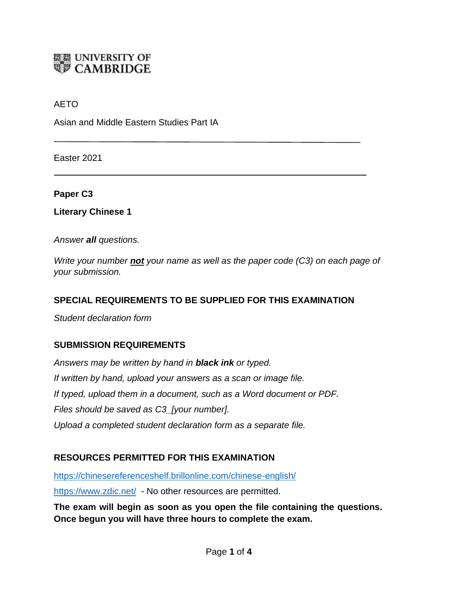

## AETO

Asian and Middle Eastern Studies Part IA

Easter 2021

**Paper C3**

**Literary Chinese 1**

*Answer all questions.*

*Write your number not your name as well as the paper code (C3) on each page of your submission.*

## **SPECIAL REQUIREMENTS TO BE SUPPLIED FOR THIS EXAMINATION**

*Student declaration form*

#### **SUBMISSION REQUIREMENTS**

*Answers may be written by hand in black ink or typed. If written by hand, upload your answers as a scan or image file. If typed, upload them in a document, such as a Word document or PDF. Files should be saved as C3\_[your number]. Upload a completed student declaration form as a separate file.*

#### **RESOURCES PERMITTED FOR THIS EXAMINATION**

<https://chinesereferenceshelf.brillonline.com/chinese-english/>

<https://www.zdic.net/>- No other resources are permitted.

**The exam will begin as soon as you open the file containing the questions. Once begun you will have three hours to complete the exam.**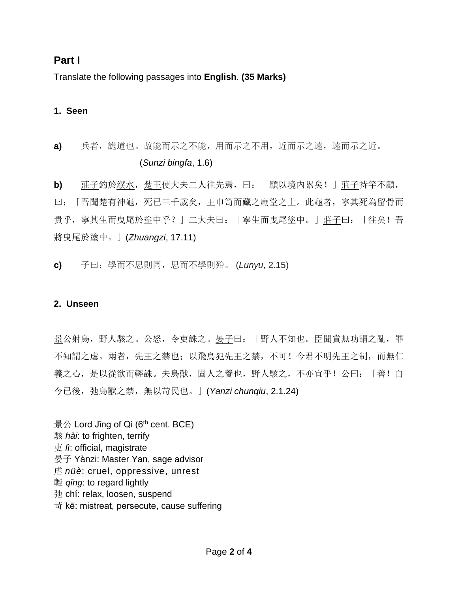# **Part I**

Translate the following passages into **English**. **(35 Marks)**

### **1. Seen**

# **a)** 兵者,詭道也。故能而示之不能,用而示之不用,近而示之遠,遠而示之近。 (*Sunzi bingfa*, 1.6)

**b)** 莊子釣於濮水,楚王使大夫二人往先焉,曰:「願以境內累矣!」莊子持竿不顧, 曰:「吾聞楚有神龜,死已三千歲矣,王巾笥而藏之廟堂之上。此龜者,寧其死為留骨而 貴乎,寧其生而曳尾於塗中乎?」二大夫曰:「寧生而曳尾塗中。」莊子曰:「往矣!吾 將曳尾於塗中。」(*Zhuangzi*, 17.11)

**c)** 子曰:學而不思則罔,思而不學則殆。 (*Lunyu*, 2.15)

#### **2. Unseen**

景公射鳥,野人駭之。公怒,令吏誅之。晏子曰: 「野人不知也。臣聞賞無功謂之亂,罪 不知謂之虐。兩者,先王之禁也;以飛鳥犯先王之禁,不可!今君不明先王之制,而無仁 義之心,是以從欲而輕誅。夫鳥獸,固人之養也,野人駭之,不亦宜乎!公曰:「善!自 今已後,弛鳥獸之禁,無以苛民也。」(*Yanzi chunqiu*, 2.1.24)

景公 Lord Jǐng of Qi ( $6<sup>th</sup>$  cent. BCE) 駭 *hài*: to frighten, terrify 吏 *lì*: official, magistrate 晏子 Yànzi: Master Yan, sage advisor 虐 *nüè*: cruel, oppressive, unrest 輕 *qīng*: to regard lightly 弛 chí: relax, loosen, suspend 苛 kē: mistreat, persecute, cause suffering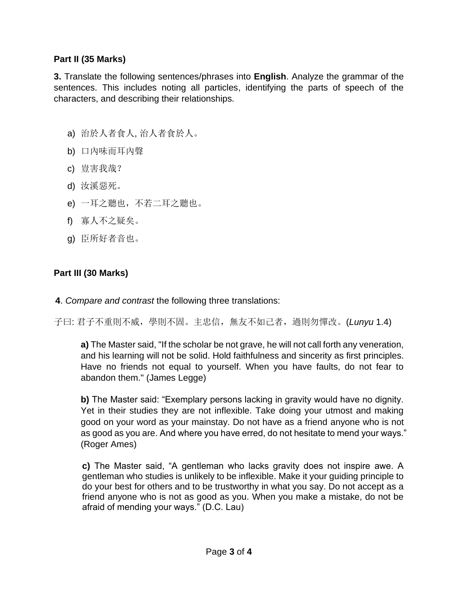## **Part II (35 Marks)**

**3.** Translate the following sentences/phrases into **English**. Analyze the grammar of the sentences. This includes noting all particles, identifying the parts of speech of the characters, and describing their relationships.

- a) 治於人者食人, 治人者食於人。
- b) 口內味而耳內聲
- c) 豈害我哉?
- d) 汝溪惡死。
- e) 一耳之聽也,不若二耳之聽也。
- f) 寡人不之疑矣。
- g) 臣所好者音也。

# **Part III (30 Marks)**

**4**. *Compare and contrast* the following three translations:

子曰: 君子不重則不威,學則不固。主忠信,無友不如己者,過則勿憚改。(*Lunyu* 1.4)

**a)** The Master said, "If the scholar be not grave, he will not call forth any veneration, and his learning will not be solid. Hold faithfulness and sincerity as first principles. Have no friends not equal to yourself. When you have faults, do not fear to abandon them." (James Legge)

**b)** The Master said: "Exemplary persons lacking in gravity would have no dignity. Yet in their studies they are not inflexible. Take doing your utmost and making good on your word as your mainstay. Do not have as a friend anyone who is not as good as you are. And where you have erred, do not hesitate to mend your ways." (Roger Ames)

**c)** The Master said, "A gentleman who lacks gravity does not inspire awe. A gentleman who studies is unlikely to be inflexible. Make it your guiding principle to do your best for others and to be trustworthy in what you say. Do not accept as a friend anyone who is not as good as you. When you make a mistake, do not be afraid of mending your ways." (D.C. Lau)